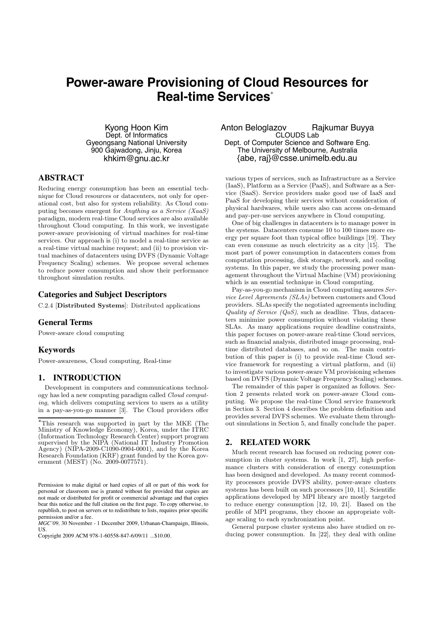# **Power-aware Provisioning of Cloud Resources for Real-time Services**<sup>∗</sup>

Kyong Hoon Kim Dept. of Informatics Gyeongsang National University 900 Gajwadong, Jinju, Korea khkim@gnu.ac.kr

# **ABSTRACT**

Reducing energy consumption has been an essential technique for Cloud resources or datacenters, not only for operational cost, but also for system reliability. As Cloud computing becomes emergent for Anything as a Service (XaaS) paradigm, modern real-time Cloud services are also available throughout Cloud computing. In this work, we investigate power-aware provisioning of virtual machines for real-time services. Our approach is (i) to model a real-time service as a real-time virtual machine request; and (ii) to provision virtual machines of datacenters using DVFS (Dynamic Voltage Frequency Scaling) schemes. We propose several schemes to reduce power consumption and show their performance throughout simulation results.

#### **Categories and Subject Descriptors**

C.2.4 [Distributed Systems]: Distributed applications

### **General Terms**

Power-aware cloud computing

#### **Keywords**

Power-awareness, Cloud computing, Real-time

## **1. INTRODUCTION**

Development in computers and communications technology has led a new computing paradigm called Cloud computing, which delivers computing services to users as a utility in a pay-as-you-go manner [3]. The Cloud providers offer

*MGC'09,* 30 November - 1 December 2009, Urbanan-Champaign, Illinois, US.

Anton Beloglazov Rajkumar Buyya CLOUDS Lab Dept. of Computer Science and Software Eng. The University of Melbourne, Australia {abe, raj}@csse.unimelb.edu.au

various types of services, such as Infrastructure as a Service (IaaS), Platform as a Service (PaaS), and Software as a Service (SaaS). Service providers make good use of IaaS and PaaS for developing their services without consideration of physical hardwares, while users also can access on-demand and pay-per-use services anywhere in Cloud computing.

One of big challenges in datacenters is to manage power in the systems. Datacenters consume 10 to 100 times more energy per square foot than typical office buildings [19]. They can even consume as much electricity as a city [15]. The most part of power consumption in datacenters comes from computation processing, disk storage, network, and cooling systems. In this paper, we study the processing power management throughout the Virtual Machine (VM) provisioning which is an essential technique in Cloud computing.

Pay-as-you-go mechanism in Cloud computing assures Service Level Agreements (SLAs) between customers and Cloud providers. SLAs specify the negotiated agreements including Quality of Service  $(QoS)$ , such as deadline. Thus, datacenters minimize power consumption without violating these SLAs. As many applications require deadline constraints, this paper focuses on power-aware real-time Cloud services, such as financial analysis, distributed image processing, realtime distributed databases, and so on. The main contribution of this paper is (i) to provide real-time Cloud service framework for requesting a virtual platform, and (ii) to investigate various power-aware VM provisioning schemes based on DVFS (Dynamic Voltage Frequency Scaling) schemes.

The remainder of this paper is organized as follows. Section 2 presents related work on power-aware Cloud computing. We propose the real-time Cloud service framework in Section 3. Section 4 describes the problem definition and provides several DVFS schemes. We evaluate them throughout simulations in Section 5, and finally conclude the paper.

# **2. RELATED WORK**

Much recent research has focused on reducing power consumption in cluster systems. In work [1, 27], high performance clusters with consideration of energy consumption has been designed and developed. As many recent commodity processors provide DVFS ability, power-aware clusters systems has been built on such processors [10, 11]. Scientific applications developed by MPI library are mostly targeted to reduce energy consumption [12, 10, 21]. Based on the profile of MPI programs, they choose an appropriate voltage scaling to each synchronization point.

General purpose cluster systems also have studied on reducing power consumption. In [22], they deal with online

<sup>∗</sup>This research was supported in part by the MKE (The Ministry of Knowledge Economy), Korea, under the ITRC (Information Technology Research Center) support program supervised by the NIPA (National IT Industry Promotion Agency) (NIPA-2009-C1090-0904-0001), and by the Korea Research Foundation (KRF) grant funded by the Korea government (MEST) (No. 2009-0077571).

Permission to make digital or hard copies of all or part of this work for personal or classroom use is granted without fee provided that copies are not made or distributed for profit or commercial advantage and that copies bear this notice and the full citation on the first page. To copy otherwise, to republish, to post on servers or to redistribute to lists, requires prior specific permission and/or a fee.

Copyright 2009 ACM 978-1-60558-847-6/09/11 ...\$10.00.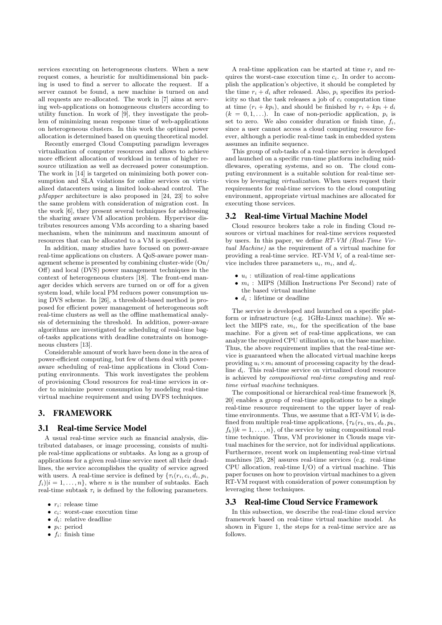services executing on heterogeneous clusters. When a new request comes, a heuristic for multidimensional bin packing is used to find a server to allocate the request. If a server cannot be found, a new machine is turned on and all requests are re-allocated. The work in [7] aims at serving web-applications on homogeneous clusters according to utility function. In work of [9], they investigate the problem of minimizing mean response time of web-applications on heterogeneous clusters. In this work the optimal power allocation is determined based on queuing theoretical model.

Recently emerged Cloud Computing paradigm leverages virtualization of computer resources and allows to achieve more efficient allocation of workload in terms of higher resource utilization as well as decreased power consumption. The work in [14] is targeted on minimizing both power consumption and SLA violations for online services on virtualized datacenters using a limited look-ahead control. The  $p$ *Mapper* architecture is also proposed in [24, 23] to solve the same problem with consideration of migration cost. In the work [6], they present several techniques for addressing the sharing aware VM allocation problem. Hypervisor distributes resources among VMs according to a sharing based mechanism, when the minimum and maximum amount of resources that can be allocated to a VM is specified.

In addition, many studies have focused on power-aware real-time applications on clusters. A QoS-aware power management scheme is presented by combining cluster-wide (On/ Off) and local (DVS) power management techniques in the context of heterogeneous clusters [18]. The front-end manager decides which servers are turned on or off for a given system load, while local PM reduces power consumption using DVS scheme. In [26], a threshold-based method is proposed for efficient power management of heterogeneous soft real-time clusters as well as the offline mathematical analysis of determining the threshold. In addition, power-aware algorithms are investigated for scheduling of real-time bagof-tasks applications with deadline constraints on homogeneous clusters [13].

Considerable amount of work have been done in the area of power-efficient computing, but few of them deal with poweraware scheduling of real-time applications in Cloud Computing environments. This work investigates the problem of provisioning Cloud resources for real-time services in order to minimize power consumption by modeling real-time virtual machine requirement and using DVFS techniques.

# **3. FRAMEWORK**

#### **3.1 Real-time Service Model**

A usual real-time service such as financial analysis, distributed databases, or image processing, consists of multiple real-time applications or subtasks. As long as a group of applications for a given real-time service meet all their deadlines, the service accomplishes the quality of service agreed with users. A real-time service is defined by  $\{\tau_i(r_i, c_i, d_i, p_i,$  $f_i$ )| $i = 1, \ldots, n$ }, where *n* is the number of subtasks. Each real-time subtask  $\tau_i$  is defined by the following parameters.

- $\bullet$  r<sub>i</sub>: release time
- $c_i$ : worst-case execution time
- $\bullet$  d<sub>i</sub>: relative deadline
- $p_i$ : period
- $f_i$ : finish time

A real-time application can be started at time  $r_i$  and requires the worst-case execution time  $c_i$ . In order to accomplish the application's objective, it should be completed by the time  $r_i + d_i$  after released. Also,  $p_i$  specifies its periodicity so that the task releases a job of  $c_i$  computation time at time  $(r_i + kp_i)$ , and should be finished by  $r_i + kp_i + d_i$  $(k = 0, 1, \ldots)$ . In case of non-periodic application,  $p_i$  is set to zero. We also consider duration or finish time,  $f_i$ , since a user cannot access a cloud computing resource forever, although a periodic real-time task in embedded system assumes an infinite sequence.

This group of sub-tasks of a real-time service is developed and launched on a specific run-time platform including middlewares, operating systems, and so on. The cloud computing environment is a suitable solution for real-time services by leveraging virtualization. When users request their requirements for real-time services to the cloud computing environment, appropriate virtual machines are allocated for executing those services.

#### **3.2 Real-time Virtual Machine Model**

Cloud resource brokers take a role in finding Cloud resources or virtual machines for real-time services requested by users. In this paper, we define RT-VM (Real-Time Virtual Machine) as the requirement of a virtual machine for providing a real-time service. RT-VM  $V_i$  of a real-time service includes three parameters  $u_i$ ,  $m_i$ , and  $d_i$ .

- $u_i$ : utilization of real-time applications
- $m_i$ : MIPS (Million Instructions Per Second) rate of the based virtual machine
- $d_i$ : lifetime or deadline

The service is developed and launched on a specific platform or infrastructure (e.g. 1GHz-Linux machine). We select the MIPS rate,  $m_i$ , for the specification of the base machine. For a given set of real-time applications, we can analyze the required CPU utilization  $u_i$  on the base machine. Thus, the above requirement implies that the real-time service is guaranteed when the allocated virtual machine keeps providing  $u_i \times m_i$  amount of processing capacity by the deadline  $d_i$ . This real-time service on virtualized cloud resource is achieved by compositional real-time computing and realtime virtual machine techniques.

The compositional or hierarchical real-time framework [8, 20] enables a group of real-time applications to be a single real-time resource requirement to the upper layer of realtime environments. Thus, we assume that a RT-VM  $V_i$  is defined from multiple real-time applications,  $\{\tau_k(r_k, w_k, d_k, p_k,$  $f_k$ )| $k = 1, \ldots, n$ }, of the service by using compositional realtime technique. Thus, VM provisioner in Clouds maps virtual machines for the service, not for individual applications. Furthermore, recent work on implementing real-time virtual machines [25, 28] assures real-time services (e.g. real-time CPU allocation, real-time I/O) of a virtual machine. This paper focuses on how to provision virtual machines to a given RT-VM request with consideration of power consumption by leveraging these techniques.

### **3.3 Real-time Cloud Service Framework**

In this subsection, we describe the real-time cloud service framework based on real-time virtual machine model. As shown in Figure 1, the steps for a real-time service are as follows.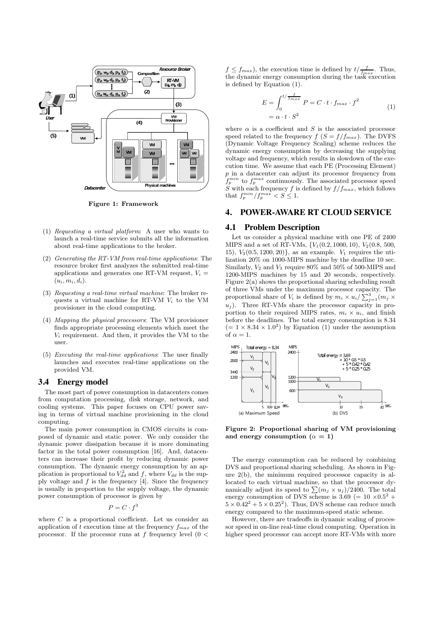

Figure 1: Framework

- (1) Requesting a virtual platform: A user who wants to launch a real-time service submits all the information about real-time applications to the broker.
- (2) Generating the RT-VM from real-time applications: The resource broker first analyzes the submitted real-time applications and generates one RT-VM request,  $V_i =$  $(u_i, m_i, d_i).$
- (3) Requesting a real-time virtual machine: The broker requests a virtual machine for RT-VM  $V_i$  to the VM provisioner in the cloud computing.
- (4) Mapping the physical processors: The VM provisioner finds appropriate processing elements which meet the  $V_i$  requirement. And then, it provides the VM to the user.
- (5) Executing the real-time applications: The user finally launches and executes real-time applications on the provided VM.

#### **3.4 Energy model**

The most part of power consumption in datacenters comes from computation processing, disk storage, network, and cooling systems. This paper focuses on CPU power saving in terms of virtual machine provisioning in the cloud computing.

The main power consumption in CMOS circuits is composed of dynamic and static power. We only consider the dynamic power dissipation because it is more dominating factor in the total power consumption [16]. And, datacenters can increase their profit by reducing dynamic power consumption. The dynamic energy consumption by an application is proportional to  $V_{dd}^2$  and f, where  $V_{dd}$  is the supply voltage and  $f$  is the frequency [4]. Since the frequency is usually in proportion to the supply voltage, the dynamic power consumption of processor is given by

 $P = C \cdot f^3$ 

where  $C$  is a proportional coefficient. Let us consider an application of t execution time at the frequency  $f_{max}$  of the processor. If the processor runs at  $f$  frequency level (0  $<$ 

 $f \n\leq f_{max}$ ), the execution time is defined by  $t/\frac{f_{max}}{f_{max}}$ . Thus, the dynamic energy consumption during the task execution is defined by Equation (1).

$$
E = \int_0^{t/\frac{f}{f_{max}}} P = C \cdot t \cdot f_{max} \cdot f^2
$$
  
=  $\alpha \cdot t \cdot S^2$  (1)

where  $\alpha$  is a coefficient and S is the associated processor speed related to the frequency  $f(S = f/f_{max})$ . The DVFS (Dynamic Voltage Frequency Scaling) scheme reduces the dynamic energy consumption by decreasing the supplying voltage and frequency, which results in slowdown of the execution time. We assume that each PE (Processing Element) p in a datacenter can adjust its processor frequency from  $f_p^{min}$  to  $f_p^{max}$  continuously. The associated processor speed S with each frequency f is defined by  $f/f_{max}$ , which follows that  $f_p^{min}/f_p^{max} < S \leq 1$ .

#### **4. POWER-AWARE RT CLOUD SERVICE**

#### **4.1 Problem Description**

Let us consider a physical machine with one PE of 2400 MIPS and a set of RT-VMs,  $\{V_1(0.2, 1000, 10), V_2(0.8, 500,$ 15),  $V_3(0.5, 1200, 20)$ , as an example.  $V_1$  requires the utilization 20% on 1000-MIPS machine by the deadline 10 sec. Similarly,  $V_2$  and  $V_3$  require 80% and 50% of 500-MIPS and 1200-MIPS machines by 15 and 20 seconds, respectively. Figure 2(a) shows the proportional sharing scheduling result of three VMs under the maximum processor capacity. The proportional share of  $V_i$  is defined by  $m_i \times u_i / \sum_{j=1}^3 (m_j \times$  $u_j$ ). Three RT-VMs share the processor capacity in proportion to their required MIPS rates,  $m_i \times u_i$ , and finish before the deadlines. The total energy consumption is 8.34  $(= 1 \times 8.34 \times 1.0^2)$  by Equation (1) under the assumption of  $\alpha = 1$ .



Figure 2: Proportional sharing of VM provisioning and energy consumption  $(\alpha = 1)$ 

The energy consumption can be reduced by combining DVS and proportional sharing scheduling. As shown in Figure 2(b), the minimum required processor capacity is allocated to each virtual machine, so that the processor dynamically adjust its speed to  $\sum (m_j \times u_j) / 2400$ . The total energy consumption of DVS scheme is 3.69 (=  $10 \times 0.5^2$  +  $5 \times 0.42^2 + 5 \times 0.25^2$ . Thus, DVS scheme can reduce much energy compared to the maximum-speed static scheme.

However, there are tradeoffs in dynamic scaling of processor speed in on-line real-time cloud computing. Operation in higher speed processor can accept more RT-VMs with more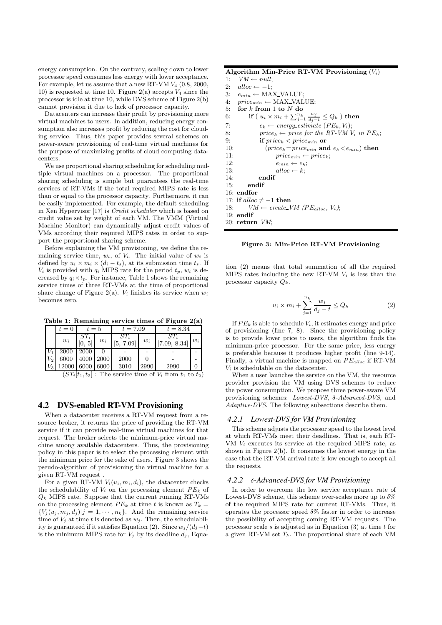energy consumption. On the contrary, scaling down to lower processor speed consumes less energy with lower acceptance. For example, let us assume that a new RT-VM  $V_4$  (0.8, 2000, 10) is requested at time 10. Figure 2(a) accepts  $V_4$  since the processor is idle at time 10, while DVS scheme of Figure 2(b) cannot provision it due to lack of processor capacity.

Datacenters can increase their profit by provisioning more virtual machines to users. In addition, reducing energy consumption also increases profit by reducing the cost for clouding service. Thus, this paper provides several schemes on power-aware provisioning of real-time virtual machines for the purpose of maximizing profits of cloud computing datacenters.

We use proportional sharing scheduling for scheduling multiple virtual machines on a processor. The proportional sharing scheduling is simple but guarantees the real-time services of RT-VMs if the total required MIPS rate is less than or equal to the processor capacity. Furthermore, it can be easily implemented. For example, the default scheduling in Xen Hypervisor [17] is Credit scheduler which is based on credit value set by weight of each VM. The VMM (Virtual Machine Monitor) can dynamically adjust credit values of VMs according their required MIPS rates in order to support the proportional sharing scheme.

Before explaining the VM provisioning, we define the remaining service time,  $w_i$ , of  $V_i$ . The initial value of  $w_i$  is defined by  $u_i \times m_i \times (d_i - t_s)$ , at its submission time  $t_s$ . If  $V_i$  is provided with  $q_i$  MIPS rate for the period  $t_p$ ,  $w_i$  is decreased by  $q_i \times t_p$ . For instance, Table 1 shows the remaining service times of three RT-VMs at the time of proportional share change of Figure 2(a).  $V_i$  finishes its service when  $w_i$ becomes zero.

Table 1: Remaining service times of Figure 2(a)

|       | $t=0$ | $t=5$       |             | $t = 7.09$          |       | $t = 8.34$             |       |
|-------|-------|-------------|-------------|---------------------|-------|------------------------|-------|
|       | $w_i$ | $ST_i$<br>5 | $w_i$       | $ST_i$<br>[5, 7.09] | $w_i$ | $ST_i$<br>[7.09, 8.34] | $w_i$ |
|       | 2000  | 2000        |             |                     |       |                        |       |
| $V_2$ | 6000  | 4000        | <b>2000</b> | 2000                |       |                        |       |
|       | 12000 | 6000        | 6000        | 3010                | 2990  | 2990                   |       |

 $(ST<sub>i</sub>[t<sub>1</sub>, t<sub>2</sub>]$ : The service time of  $V<sub>i</sub>$  from  $t<sub>1</sub>$  to  $t<sub>2</sub>$ )

#### **4.2 DVS-enabled RT-VM Provisioning**

When a datacenter receives a RT-VM request from a resource broker, it returns the price of providing the RT-VM service if it can provide real-time virtual machines for that request. The broker selects the minimum-price virtual machine among available datacenters. Thus, the provisioning policy in this paper is to select the processing element with the minimum price for the sake of users. Figure 3 shows the pseudo-algorithm of provisioning the virtual machine for a given RT-VM request .

For a given RT-VM  $V_i(u_i, m_i, d_i)$ , the datacenter checks the schedulability of  $V_i$  on the processing element  $PE_k$  of  $Q_k$  MIPS rate. Suppose that the current running RT-VMs on the processing element  $PE_k$  at time t is known as  $T_k =$  ${V_j(u_j, m_j, d_j)|j = 1, \cdots, n_k}.$  And the remaining service time of  $V_i$  at time t is denoted as  $w_i$ . Then, the schedulability is guaranteed if it satisfies Equation (2). Since  $w_i/(d_i-t)$ is the minimum MIPS rate for  $V_i$  by its deadline  $d_i$ , Equa-

# Algorithm Min-Price RT-VM Provisioning  $(V_i)$ <br>1:  $VM \leftarrow null$ :

```
VM \leftarrow null:
```

```
2: alloc ← −1;<br>3: e_{min} ← MA
```

```
e_{min} \leftarrow \text{MAX\_VALUE};
```

```
4: price_{min} \leftarrow MAX\_VALUE;
```

```
5: for k from 1 to N do \;
```

```
6: if ( u_i \times m_i + \sum_{j=1}^{n_k} \frac{w_j}{d_j-t} \leq Q_k ) then
```

```
7: e_k \leftarrow energy\_estimate \ (PE_k, V_i);<br>8: price_k \leftarrow price \ for \ the \ RT-VM \ V
```

```
8: price_k \leftarrow price \text{ for the } RT\text{-}VM \text{ } V_i \text{ in } PE_k;<br>9: if price_k \leq price \text{ in } \text{ or }
```

```
if price_k < price_{min} or
10: (price_k = price_{min} \text{ and } e_k < e_{min}) \text{ then}
```

```
11: price_{min} \leftarrow price_k;
```

```
12: e_{min} \leftarrow e_k;
```

```
13: alloc \leftarrow k;
```

```
14: endif
```

```
16: endfor
17: if alloc \neq -1 then
```

```
18: VM \leftarrow create\_VM (PE_{alloc}, V_i);
```

```
19: endif
```

```
20: return VM;
```
15: endif

Figure 3: Min-Price RT-VM Provisioning

tion (2) means that total summation of all the required MIPS rates including the new RT-VM  $V_i$  is less than the processor capacity  $Q_k$ .

$$
u_i \times m_i + \sum_{j=1}^{n_k} \frac{w_j}{d_j - t} \le Q_k \tag{2}
$$

If  $PE_k$  is able to schedule  $V_i$ , it estimates energy and price of provisioning (line 7, 8). Since the provisioning policy is to provide lower price to users, the algorithm finds the minimum-price processor. For the same price, less energy is preferable because it produces higher profit (line 9-14). Finally, a virtual machine is mapped on  $PE_{alloc}$  if RT-VM  $V_i$  is schedulable on the datacenter.

When a user launches the service on the VM, the resource provider provision the VM using DVS schemes to reduce the power consumption. We propose three power-aware VM provisioning schemes: Lowest-DVS, δ-Advanced-DVS, and Adaptive-DVS. The following subsections describe them.

#### *4.2.1 Lowest-DVS for VM Provisioning*

This scheme adjusts the processor speed to the lowest level at which RT-VMs meet their deadlines. That is, each RT-VM  $V_i$  executes its service at the required MIPS rate, as shown in Figure 2(b). It consumes the lowest energy in the case that the RT-VM arrival rate is low enough to accept all the requests.

#### *4.2.2* δ*-Advanced-DVS for VM Provisioning*

In order to overcome the low service acceptance rate of Lowest-DVS scheme, this scheme over-scales more up to  $\delta\%$ of the required MIPS rate for current RT-VMs. Thus, it operates the processor speed  $\delta\%$  faster in order to increase the possibility of accepting coming RT-VM requests. The processor scale  $s$  is adjusted as in Equation (3) at time  $t$  for a given RT-VM set  $T_k$ . The proportional share of each VM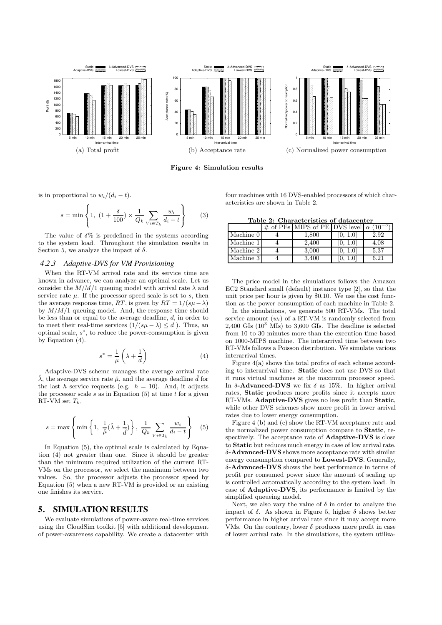





(c) Normalized power consumption

Figure 4: Simulation results

is in proportional to  $w_i/(d_i-t)$ .

$$
s = \min\left\{1, \ (1 + \frac{\delta}{100}) \times \frac{1}{Q_k} \sum_{V_i \in T_k} \frac{w_i}{d_i - t}\right\}
$$
(3)

The value of  $\delta\%$  is predefined in the systems according to the system load. Throughout the simulation results in Section 5, we analyze the impact of  $\delta$ .

#### *4.2.3 Adaptive-DVS for VM Provisioning*

When the RT-VM arrival rate and its service time are known in advance, we can analyze an optimal scale. Let us consider the  $M/M/1$  queuing model with arrival rate  $\lambda$  and service rate  $\mu$ . If the processor speed scale is set to  $s$ , then the average response time, RT, is given by  $RT = 1/(s\mu - \lambda)$ by  $M/M/1$  queuing model. And, the response time should be less than or equal to the average deadline,  $d$ , in order to to meet their real-time services  $(1/(s\mu - \lambda) \leq d)$ . Thus, an optimal scale,  $s^*$ , to reduce the power-consumption is given by Equation (4).

$$
s^* = \frac{1}{\mu} \left( \lambda + \frac{1}{d} \right) \tag{4}
$$

Adaptive-DVS scheme manages the average arrival rate  $\hat{\lambda}$ , the average service rate  $\hat{\mu}$ , and the average deadline  $\hat{d}$  for the last h service requests (e.g.  $h = 10$ ). And, it adjusts the processor scale  $s$  as in Equation (5) at time  $t$  for a given RT-VM set  $T_k$ .

$$
s = \max\left\{\min\left\{1, \frac{1}{\hat{\mu}}(\hat{\lambda} + \frac{1}{\hat{d}})\right\}, \frac{1}{Q_k} \sum_{V_i \in T_k} \frac{w_i}{d_i - t}\right\}
$$
(5)

In Equation (5), the optimal scale is calculated by Equation (4) not greater than one. Since it should be greater than the minimum required utilization of the current RT-VMs on the processor, we select the maximum between two values. So, the processor adjusts the processor speed by Equation (5) when a new RT-VM is provided or an existing one finishes its service.

# **5. SIMULATION RESULTS**

We evaluate simulations of power-aware real-time services using the CloudSim toolkit [5] with additional development of power-awareness capability. We create a datacenter with four machines with 16 DVS-enabled processors of which characteristics are shown in Table 2.

ormalized power consumption

| Table 2: Characteristics of datacenter |  |  |                                                               |  |  |  |  |  |  |
|----------------------------------------|--|--|---------------------------------------------------------------|--|--|--|--|--|--|
|                                        |  |  | $\#$ of PEs MIPS of PE DVS level $\alpha$ (10 <sup>-3</sup> ) |  |  |  |  |  |  |

|           | $\#$ of PEs MIPS of PETDVS level $\alpha$ |      |
|-----------|-------------------------------------------|------|
| Machine 0 | $1.800\,$                                 | 2.92 |
| Machine 1 | 2,400                                     | 4.08 |
| Machine 2 | 3.000                                     | 5.37 |
| Machine 3 | 3.400                                     | 6.21 |

The price model in the simulations follows the Amazon EC2 Standard small (default) instance type [2], so that the unit price per hour is given by \$0.10. We use the cost function as the power consumption of each machine in Table 2.

In the simulations, we generate 500 RT-VMs. The total service amount  $(w_i)$  of a RT-VM is randomly selected from  $2,400$  GIs  $(10^3$  MIs) to 3,600 GIs. The deadline is selected from 10 to 30 minutes more than the execution time based on 1000-MIPS machine. The interarrival time between two RT-VMs follows a Poisson distribution. We simulate various interarrival times.

Figure 4(a) shows the total profits of each scheme according to interarrival time. Static does not use DVS so that it runs virtual machines at the maximum processor speed. In δ-Advanced-DVS we fix δ as 15%. In higher arrival rates, Static produces more profits since it accepts more RT-VMs. Adaptive-DVS gives no less profit than Static, while other DVS schemes show more profit in lower arrival rates due to lower energy consumption.

Figure 4 (b) and (c) show the RT-VM acceptance rate and the normalized power consumption compare to Static, respectively. The acceptance rate of **Adaptive-DVS** is close to Static but reduces much energy in case of low arrival rate. δ-Advanced-DVS shows more acceptance rate with similar energy consumption compared to Lowest-DVS. Generally, δ-Advanced-DVS shows the best performance in terms of profit per consumed power since the amount of scaling up is controlled automatically according to the system load. In case of Adaptive-DVS, its performance is limited by the simplified queueing model.

Next, we also vary the value of  $\delta$  in order to analyze the impact of  $\delta$ . As shown in Figure 5, higher  $\delta$  shows better performance in higher arrival rate since it may accept more VMs. On the contrary, lower  $\delta$  produces more profit in case of lower arrival rate. In the simulations, the system utiliza-